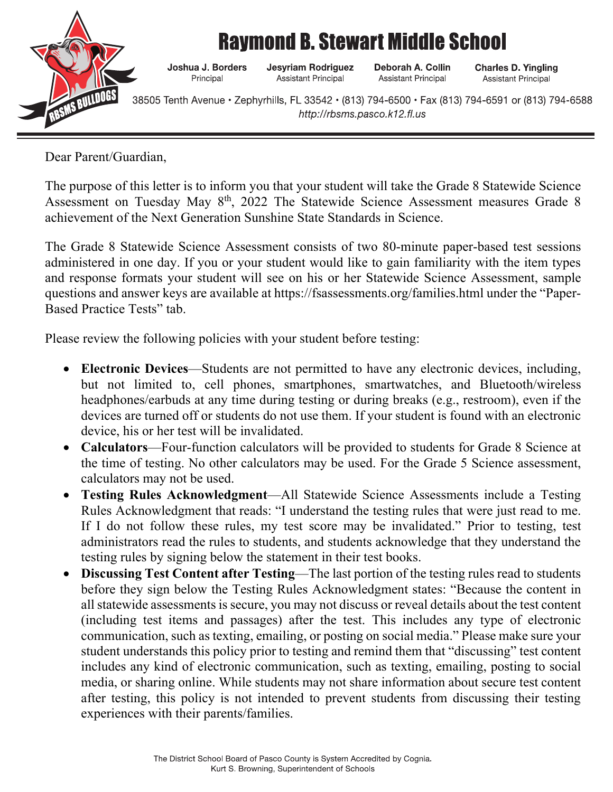

## **Raymond B. Stewart Middle School**

Joshua J. Borders Principal

**Jesyriam Rodriguez** Assistant Principal

Deborah A. Collin Assistant Principal

**Charles D. Yingling** Assistant Principal

38505 Tenth Avenue • Zephyrhills, FL 33542 • (813) 794-6500 • Fax (813) 794-6591 or (813) 794-6588 http://rbsms.pasco.k12.fl.us

Dear Parent/Guardian,

The purpose of this letter is to inform you that your student will take the Grade 8 Statewide Science Assessment on Tuesday May 8<sup>th</sup>, 2022 The Statewide Science Assessment measures Grade 8 achievement of the Next Generation Sunshine State Standards in Science.

The Grade 8 Statewide Science Assessment consists of two 80-minute paper-based test sessions administered in one day. If you or your student would like to gain familiarity with the item types and response formats your student will see on his or her Statewide Science Assessment, sample questions and answer keys are available at https://fsassessments.org/families.html under the "Paper-Based Practice Tests" tab.

Please review the following policies with your student before testing:

- **Electronic Devices**—Students are not permitted to have any electronic devices, including, but not limited to, cell phones, smartphones, smartwatches, and Bluetooth/wireless headphones/earbuds at any time during testing or during breaks (e.g., restroom), even if the devices are turned off or students do not use them. If your student is found with an electronic device, his or her test will be invalidated.
- **Calculators**—Four-function calculators will be provided to students for Grade 8 Science at the time of testing. No other calculators may be used. For the Grade 5 Science assessment, calculators may not be used.
- **Testing Rules Acknowledgment**—All Statewide Science Assessments include a Testing Rules Acknowledgment that reads: "I understand the testing rules that were just read to me. If I do not follow these rules, my test score may be invalidated." Prior to testing, test administrators read the rules to students, and students acknowledge that they understand the testing rules by signing below the statement in their test books.
- **Discussing Test Content after Testing**—The last portion of the testing rules read to students before they sign below the Testing Rules Acknowledgment states: "Because the content in all statewide assessments is secure, you may not discuss or reveal details about the test content (including test items and passages) after the test. This includes any type of electronic communication, such as texting, emailing, or posting on social media." Please make sure your student understands this policy prior to testing and remind them that "discussing" test content includes any kind of electronic communication, such as texting, emailing, posting to social media, or sharing online. While students may not share information about secure test content after testing, this policy is not intended to prevent students from discussing their testing experiences with their parents/families.